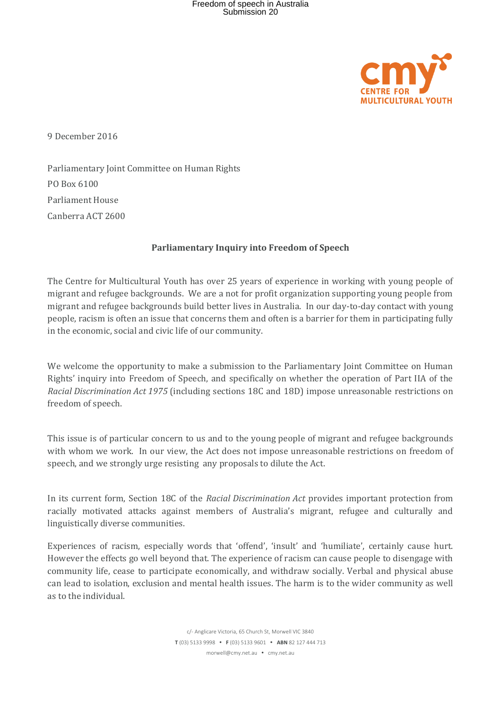

9 December 2016

Parliamentary Joint Committee on Human Rights PO Box 6100 Parliament House Canberra ACT 2600

## **Parliamentary Inquiry into Freedom of Speech**

The Centre for Multicultural Youth has over 25 years of experience in working with young people of migrant and refugee backgrounds. We are a not for profit organization supporting young people from migrant and refugee backgrounds build better lives in Australia. In our day-to-day contact with young people, racism is often an issue that concerns them and often is a barrier for them in participating fully in the economic, social and civic life of our community.

We welcome the opportunity to make a submission to the Parliamentary Joint Committee on Human Rights' inquiry into Freedom of Speech, and specifically on whether the operation of Part IIA of the *Racial Discrimination Act 1975* (including sections 18C and 18D) impose unreasonable restrictions on freedom of speech.

This issue is of particular concern to us and to the young people of migrant and refugee backgrounds with whom we work. In our view, the Act does not impose unreasonable restrictions on freedom of speech, and we strongly urge resisting any proposals to dilute the Act.

In its current form, Section 18C of the *Racial Discrimination Act* provides important protection from racially motivated attacks against members of Australia's migrant, refugee and culturally and linguistically diverse communities.

Experiences of racism, especially words that 'offend', 'insult' and 'humiliate', certainly cause hurt. However the effects go well beyond that. The experience of racism can cause people to disengage with community life, cease to participate economically, and withdraw socially. Verbal and physical abuse can lead to isolation, exclusion and mental health issues. The harm is to the wider community as well as to the individual.